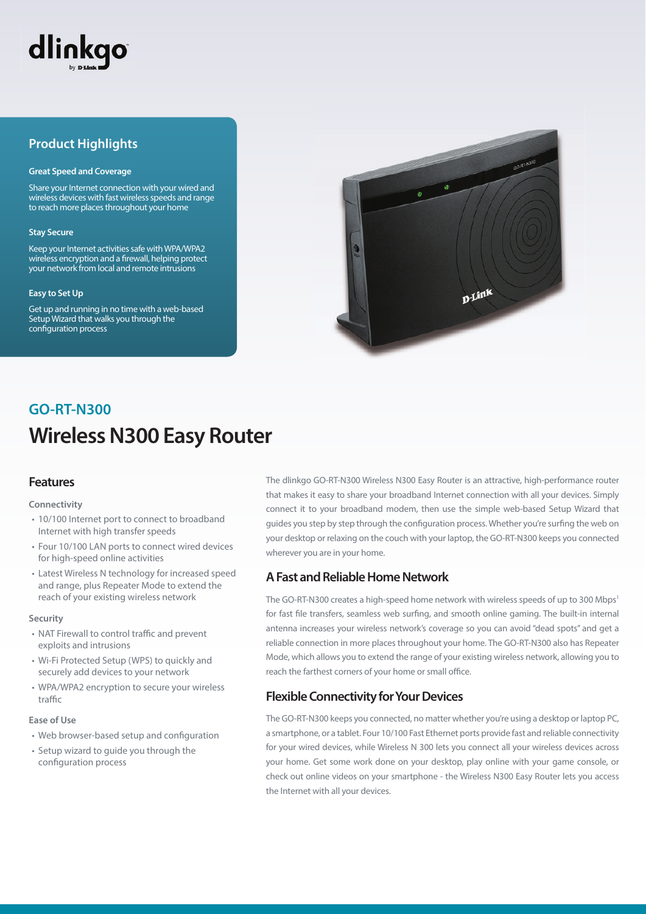

## **Product Highlights**

#### **Great Speed and Coverage**

Share your Internet connection with your wired and wireless devices with fast wireless speeds and range to reach more places throughout your home

#### **Stay Secure**

Keep your Internet activities safe with WPA/WPA2 wireless encryption and a firewall, helping protect your network from local and remote intrusions

#### **Easy to Set Up**

Get up and running in no time with a web-based Setup Wizard that walks you through the configuration process



# **Wireless N300 Easy Router GO-RT-N300**

## **Features**

#### **Connectivity**

- 10/100 Internet port to connect to broadband Internet with high transfer speeds
- Four 10/100 LAN ports to connect wired devices for high-speed online activities
- Latest Wireless N technology for increased speed and range, plus Repeater Mode to extend the reach of your existing wireless network

#### **Security**

- NAT Firewall to control traffic and prevent exploits and intrusions
- Wi-Fi Protected Setup (WPS) to quickly and securely add devices to your network
- WPA/WPA2 encryption to secure your wireless  $tr<sub>2</sub>ff<sub>c</sub>$

#### **Ease of Use**

- Web browser-based setup and configuration
- Setup wizard to guide you through the configuration process

The dlinkgo GO-RT-N300 Wireless N300 Easy Router is an attractive, high-performance router that makes it easy to share your broadband Internet connection with all your devices. Simply connect it to your broadband modem, then use the simple web-based Setup Wizard that guides you step by step through the configuration process. Whether you're surfing the web on your desktop or relaxing on the couch with your laptop, the GO-RT-N300 keeps you connected wherever you are in your home.

## **A Fast and Reliable Home Network**

The GO-RT-N300 creates a high-speed home network with wireless speeds of up to 300 Mbps<sup>1</sup> for fast file transfers, seamless web surfing, and smooth online gaming. The built-in internal antenna increases your wireless network's coverage so you can avoid "dead spots" and get a reliable connection in more places throughout your home. The GO-RT-N300 also has Repeater Mode, which allows you to extend the range of your existing wireless network, allowing you to reach the farthest corners of your home or small office.

## **Flexible Connectivity for Your Devices**

The GO-RT-N300 keeps you connected, no matter whether you're using a desktop or laptop PC, a smartphone, or a tablet. Four 10/100 Fast Ethernet ports provide fast and reliable connectivity for your wired devices, while Wireless N 300 lets you connect all your wireless devices across your home. Get some work done on your desktop, play online with your game console, or check out online videos on your smartphone - the Wireless N300 Easy Router lets you access the Internet with all your devices.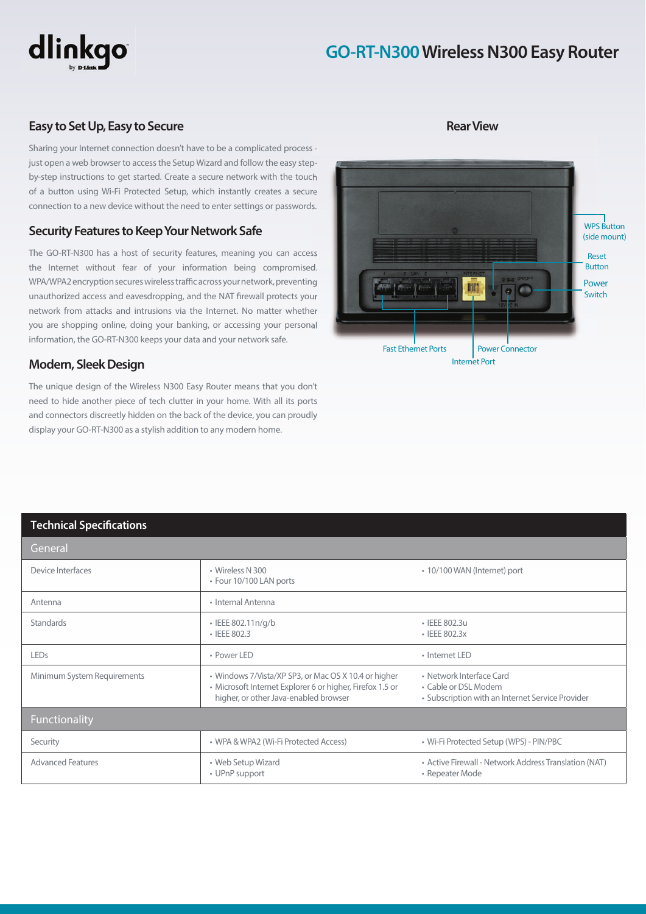

# **GO-RT-N300 Wireless N300 Easy Router**

## **Easy to Set Up, Easy to Secure**

Sharing your Internet connection doesn't have to be a complicated process just open a web browser to access the Setup Wizard and follow the easy stepby-step instructions to get started. Create a secure network with the touch of a button using Wi-Fi Protected Setup, which instantly creates a secure connection to a new device without the need to enter settings or passwords.

## **Security Features to Keep Your Network Safe**

The GO-RT-N300 has a host of security features, meaning you can access the Internet without fear of your information being compromised. WPA/WPA2 encryption secures wireless traffic across your network, preventing unauthorized access and eavesdropping, and the NAT firewall protects your network from attacks and intrusions via the Internet. No matter whether you are shopping online, doing your banking, or accessing your personal information, the GO-RT-N300 keeps your data and your network safe.

#### **Modern, Sleek Design**

The unique design of the Wireless N300 Easy Router means that you don't need to hide another piece of tech clutter in your home. With all its ports and connectors discreetly hidden on the back of the device, you can proudly display your GO-RT-N300 as a stylish addition to any modern home.



#### **Rear View**

### **Technical Specifications**

| General                     |                                                                                                                                                            |                                                                                                      |
|-----------------------------|------------------------------------------------------------------------------------------------------------------------------------------------------------|------------------------------------------------------------------------------------------------------|
| Device Interfaces           | • Wireless N 300<br>• Four 10/100 LAN ports                                                                                                                | • 10/100 WAN (Internet) port                                                                         |
| Antenna                     | · Internal Antenna                                                                                                                                         |                                                                                                      |
| <b>Standards</b>            | • IEEE 802.11n/g/b<br>$\cdot$ IEEE 802.3                                                                                                                   | • IEEE 802.3u<br>$\cdot$ IEEE 802.3 $\times$                                                         |
| <b>LEDs</b>                 | • Power LED                                                                                                                                                | • Internet LED                                                                                       |
| Minimum System Requirements | • Windows 7/Vista/XP SP3, or Mac OS X 10.4 or higher<br>• Microsoft Internet Explorer 6 or higher, Firefox 1.5 or<br>higher, or other Java-enabled browser | • Network Interface Card<br>• Cable or DSL Modem<br>• Subscription with an Internet Service Provider |
| Functionality               |                                                                                                                                                            |                                                                                                      |
| Security                    | • WPA & WPA2 (Wi-Fi Protected Access)                                                                                                                      | • Wi-Fi Protected Setup (WPS) - PIN/PBC                                                              |
| <b>Advanced Features</b>    | • Web Setup Wizard<br>• UPnP support                                                                                                                       | • Active Firewall - Network Address Translation (NAT)<br>• Repeater Mode                             |